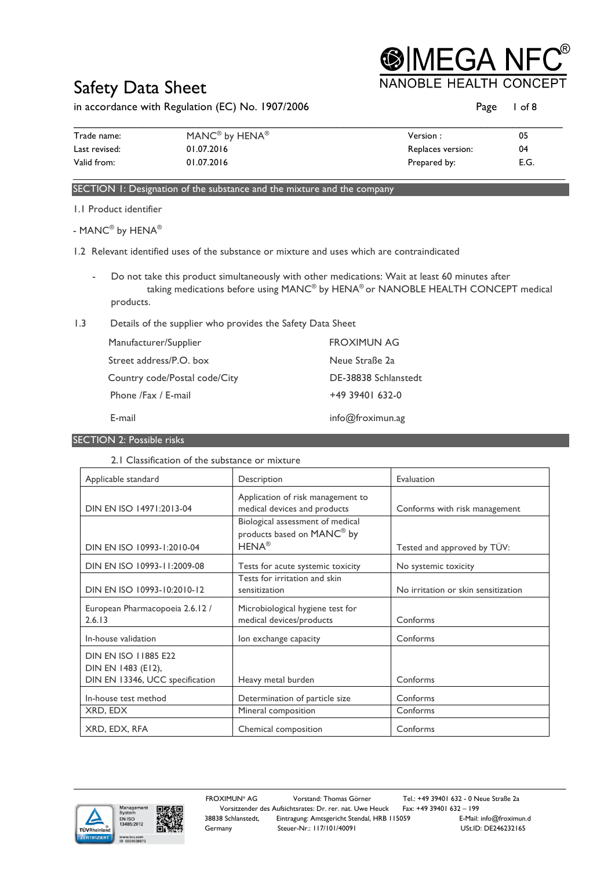**®IMEGA NF NOBLE HEALTH C** 

## Safety Data Sheet

in accordance with Regulation (EC) No. 1907/2006 **Page 1 of 8** Page 1 of 8

| Trade name:   | MANC <sup>®</sup> by HENA <sup>®</sup> | Version :         | 05   |
|---------------|----------------------------------------|-------------------|------|
| Last revised: | 01.07.2016                             | Replaces version: | 04   |
| Valid from:   | 01.07.2016                             | Prepared by:      | E.G. |

### SECTION 1: Designation of the substance and the mixture and the company

1.1 Product identifier

- MANC® by HENA®

- 1.2 Relevant identified uses of the substance or mixture and uses which are contraindicated
	- Do not take this product simultaneously with other medications: Wait at least 60 minutes after taking medications before using MANC® by HENA® or NANOBLE HEALTH CONCEPT medical products.
- 1.3 Details of the supplier who provides the Safety Data Sheet

| Manufacturer/Supplier         | <b>FROXIMUN AG</b>   |
|-------------------------------|----------------------|
| Street address/P.O. box       | Neue Straße 2a       |
| Country code/Postal code/City | DE-38838 Schlanstedt |
| Phone /Fax / E-mail           | $+49$ 39401 632-0    |
| E-mail                        | info@froximun.ag     |

SECTION 2: Possible risks

### 2.1 Classification of the substance or mixture

| Applicable standard                                                                  | Description                                                       | Evaluation                          |
|--------------------------------------------------------------------------------------|-------------------------------------------------------------------|-------------------------------------|
| DIN EN ISO 14971:2013-04                                                             | Application of risk management to<br>medical devices and products | Conforms with risk management       |
|                                                                                      | Biological assessment of medical<br>products based on MANC® by    |                                     |
| DIN EN ISO 10993-1:2010-04                                                           | $HENA^{\circledR}$                                                | Tested and approved by TÜV:         |
| DIN EN ISO 10993-11:2009-08                                                          | Tests for acute systemic toxicity                                 | No systemic toxicity                |
| DIN EN ISO 10993-10:2010-12                                                          | Tests for irritation and skin<br>sensitization                    | No irritation or skin sensitization |
| European Pharmacopoeia 2.6.12 /<br>2.6.13                                            | Microbiological hygiene test for<br>medical devices/products      | Conforms                            |
| In-house validation                                                                  | lon exchange capacity                                             | Conforms                            |
| <b>DIN EN ISO 11885 E22</b><br>DIN EN 1483 (E12),<br>DIN EN 13346, UCC specification | Heavy metal burden                                                | Conforms                            |
| In-house test method                                                                 | Determination of particle size                                    | Conforms                            |
| XRD, EDX                                                                             | Mineral composition                                               | Conforms                            |
| XRD, EDX, RFA                                                                        | Chemical composition                                              | Conforms                            |



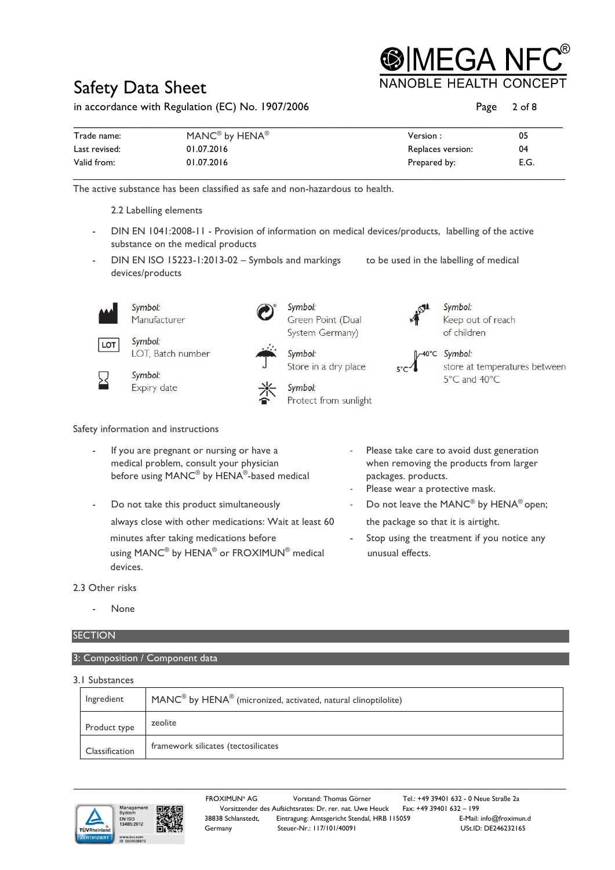**IMEGA NI** 

## Safety Data Sheet

in accordance with Regulation (EC) No. 1907/2006

| Page | $2$ of $8$ |
|------|------------|
|      |            |

| Trade name:   | MANC® by HENA® | Version :         | 05   |
|---------------|----------------|-------------------|------|
| Last revised: | 01.07.2016     | Replaces version: | 04   |
| Valid from:   | 01.07.2016     | Prepared by:      | E.G. |

The active substance has been classified as safe and non-hazardous to health.



Safety information and instructions

- If you are pregnant or nursing or have a - Please take care to avoid dust generation medical problem, consult your physician when removing the products from larger before using MANC<sup>®</sup> by HENA<sup>®</sup>-based medical packages. products.
- Do not take this product simultaneously  $\sim$  Do not leave the MANC<sup>®</sup> by HENA® open; always close with other medications: Wait at least 60 the package so that it is airtight. minutes after taking medications before - Stop using the treatment if you notice any using MANC<sup>®</sup> by HENA<sup>®</sup> or FROXIMUN<sup>®</sup> medical unusual effects. devices.
- 
- Please wear a protective mask.
	-
	-

### 2.3 Other risks

None

### **SECTION**

3: Composition / Component data

| 3.1 Substances |                                                                    |
|----------------|--------------------------------------------------------------------|
| Ingredient     | $MANC®$ by $HENA®$ (micronized, activated, natural clinoptilolite) |
| Product type   | zeolite                                                            |
| Classification | framework silicates (tectosilicates                                |





FROXIMUN® AG Vorstand: Thomas Görner Tel.: +49 39401 632 - 0 Neue Straße 2a Vorsitzender des Aufsichtsrates: Dr. rer. nat. Uwe Heuck Fax: +49 39401 632 – 199<br>38838 Schlanstedt, Eintragung: Amtsgericht Stendal, HRB 115059 E-Mail: info@froximun.d Eintragung: Amtsgericht Stendal, HRB 115059 Germany Steuer-Nr.: 117/101/40091 USt.ID: DE246232165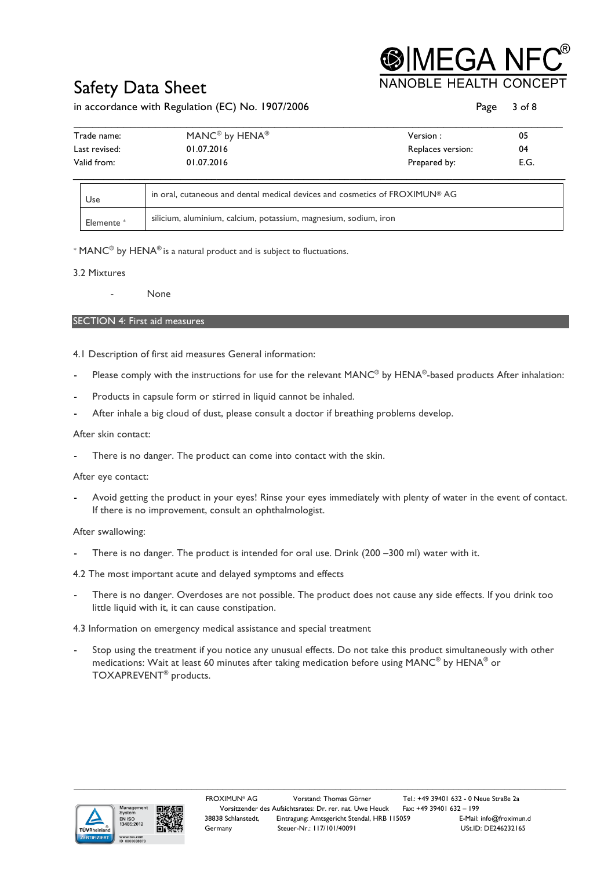# IEGA N

## Safety Data Sheet

### in accordance with Regulation (EC) No. 1907/2006 **Page 3 of 8** Page 3 of 8

| Trade name:   | MANC <sup>®</sup> by HENA <sup>®</sup> | Version :         | 05   |
|---------------|----------------------------------------|-------------------|------|
| Last revised: | 01.07.2016                             | Replaces version: | 04   |
| Valid from:   | 01.07.2016                             | Prepared by:      | E.G. |

| Use                   | in oral, cutaneous and dental medical devices and cosmetics of FROXIMUN® AG |
|-----------------------|-----------------------------------------------------------------------------|
| Elemente <sup>*</sup> | silicium, aluminium, calcium, potassium, magnesium, sodium, iron            |

\*  $MANC<sup>®</sup>$  by HENA<sup>®</sup> is a natural product and is subject to fluctuations.

### 3.2 Mixtures

- None

### SECTION 4: First aid measures

- 4.1 Description of first aid measures General information:
- Please comply with the instructions for use for the relevant MANC® by HENA®-based products After inhalation:
- Products in capsule form or stirred in liquid cannot be inhaled.
- After inhale a big cloud of dust, please consult a doctor if breathing problems develop.

### After skin contact:

There is no danger. The product can come into contact with the skin.

### After eye contact:

- Avoid getting the product in your eyes! Rinse your eyes immediately with plenty of water in the event of contact. If there is no improvement, consult an ophthalmologist.

### After swallowing:

There is no danger. The product is intended for oral use. Drink (200 –300 ml) water with it.

4.2 The most important acute and delayed symptoms and effects

There is no danger. Overdoses are not possible. The product does not cause any side effects. If you drink too little liquid with it, it can cause constipation.

### 4.3 Information on emergency medical assistance and special treatment

Stop using the treatment if you notice any unusual effects. Do not take this product simultaneously with other medications: Wait at least 60 minutes after taking medication before using MANC® by HENA® or TOXAPREVENT® products.



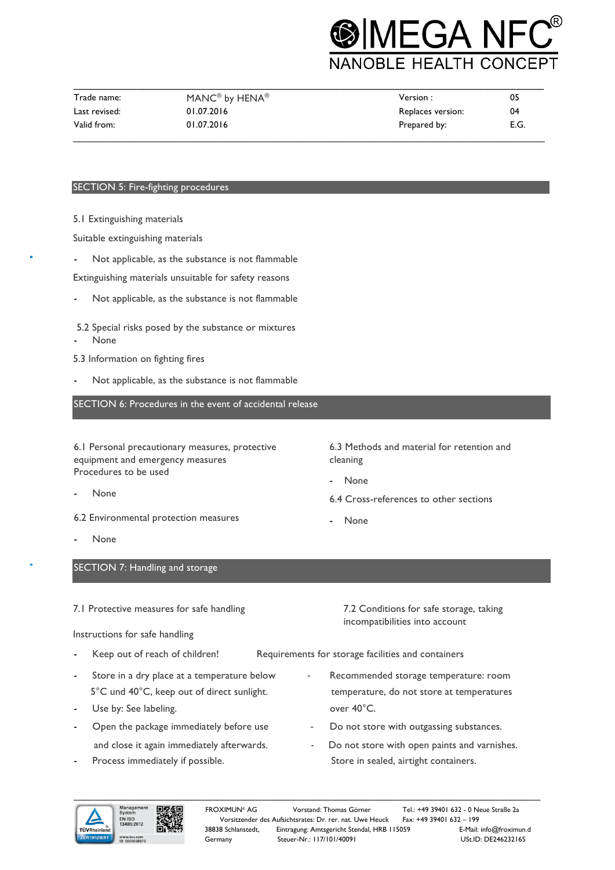# **MEGA NF JOBLE HEALTH CONCEPT**

| Trade name:   | MANC® by HENA® | Version :         | 05   |
|---------------|----------------|-------------------|------|
| Last revised: | 01.07.2016     | Replaces version: | 04   |
| Valid from:   | 01.07.2016     | Prepared by:      | E.G. |

### SECTION 5: Fire-fighting procedures

5.1 Extinguishing materials

Suitable extinguishing materials

Not applicable, as the substance is not flammable

Extinguishing materials unsuitable for safety reasons

Not applicable, as the substance is not flammable

5.2 Special risks posed by the substance or mixtures None

- 5.3 Information on fighting fires
- Not applicable, as the substance is not flammable

SECTION 6: Procedures in the event of accidental release

6.1 Personal precautionary measures, protective equipment and emergency measures Procedures to be used

- None
- 6.2 Environmental protection measures
- 

6.3 Methods and material for retention and cleaning

- None

6.4 Cross-references to other sections

incompatibilities into account

- None

None

SECTION 7: Handling and storage

7.1 Protective measures for safe handling 7.2 Conditions for safe storage, taking

Instructions for safe handling

- Keep out of reach of children! Requirements for storage facilities and containers
- Store in a dry place at a temperature below Recommended storage temperature: room 5°C und 40°C, keep out of direct sunlight. the stemperature, do not store at temperatures
- Use by: See labeling. The set of the set of the set of the set of the set of the set of the set of the set of the set of the set of the set of the set of the set of the set of the set of the set of the set of the set of th
- Open the package immediately before use  $\qquad \qquad -$  Do not store with outgassing substances. and close it again immediately afterwards. - Do not store with open paints and varnishes.
- Process immediately if possible. Store in sealed, airtight containers.
- $\_$  ,  $\_$  ,  $\_$  ,  $\_$  ,  $\_$  ,  $\_$  ,  $\_$  ,  $\_$  ,  $\_$  ,  $\_$  ,  $\_$  ,  $\_$  ,  $\_$  ,  $\_$  ,  $\_$  ,  $\_$  ,  $\_$  ,  $\_$  ,  $\_$  ,  $\_$  ,  $\_$  ,  $\_$  ,  $\_$  ,  $\_$  ,  $\_$  ,  $\_$  ,  $\_$  ,  $\_$  ,  $\_$  ,  $\_$  ,  $\_$  ,  $\_$  ,  $\_$  ,  $\_$  ,  $\_$  ,  $\_$  ,  $\_$  , FROXIMUN® AG Vorstand: Thomas Görner Tel.: +49 39401 632 - 0 Neue Straße 2a

38838 Schlanstedt, Eintragung: Amtsgericht Stendal, HRB 115059

Vorsitzender des Aufsichtsrates: Dr. rer. nat. Uwe Heuck Fax: +49 39401 632 – 199 Germany Steuer-Nr.: 117/101/40091 USt.ID: DE246232165

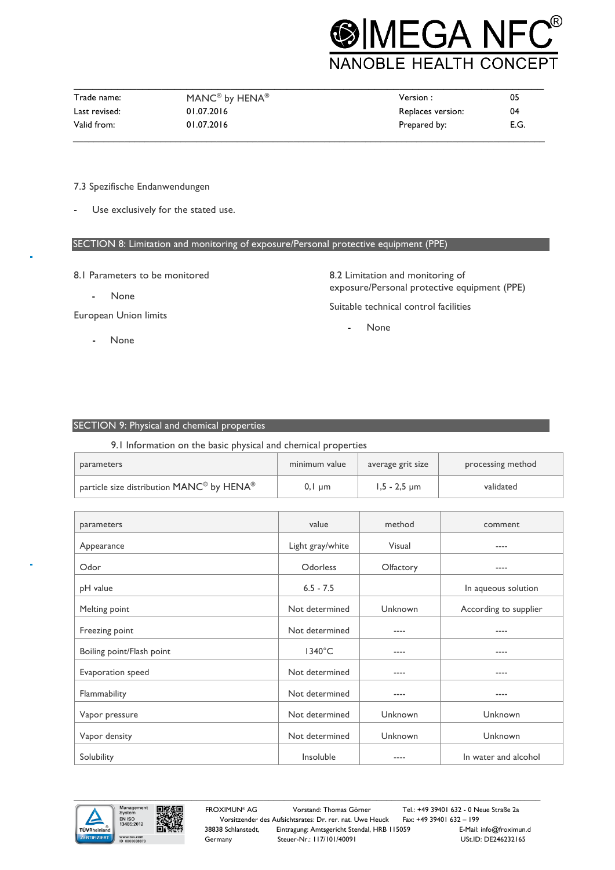

| Trade name:   | MANC® by HENA® | Version :         | 05   |
|---------------|----------------|-------------------|------|
| Last revised: | 01.07.2016     | Replaces version: | 04   |
| Valid from:   | 01.07.2016     | Prepared by:      | E.G. |

### 7.3 Spezifische Endanwendungen

Use exclusively for the stated use.

### SECTION 8: Limitation and monitoring of exposure/Personal protective equipment (PPE)

- 8.1 Parameters to be monitored
	- None

European Union limits

- None

8.2 Limitation and monitoring of exposure/Personal protective equipment (PPE) Suitable technical control facilities

None

### SECTION 9: Physical and chemical properties

9.1 Information on the basic physical and chemical properties

| parameters                                | minimum value | average grit size | processing method |
|-------------------------------------------|---------------|-------------------|-------------------|
| particle size distribution MANC® by HENA® | $0,1 \mu m$   | $1,5 - 2,5$ µm    | validated         |

| parameters                | value            | method    | comment               |
|---------------------------|------------------|-----------|-----------------------|
| Appearance                | Light gray/white | Visual    | $--- -$               |
| Odor                      | Odorless         | Olfactory | $---$                 |
| pH value                  | $6.5 - 7.5$      |           | In aqueous solution   |
| Melting point             | Not determined   | Unknown   | According to supplier |
| Freezing point            | Not determined   | ----      | $---$                 |
| Boiling point/Flash point | $1340^{\circ}$ C | ----      | $---$                 |
| Evaporation speed         | Not determined   | ----      | $---$                 |
| Flammability              | Not determined   | ----      | $- - - -$             |
| Vapor pressure            | Not determined   | Unknown   | Unknown               |
| Vapor density             | Not determined   | Unknown   | Unknown               |
| Solubility                | Insoluble        |           | In water and alcohol  |

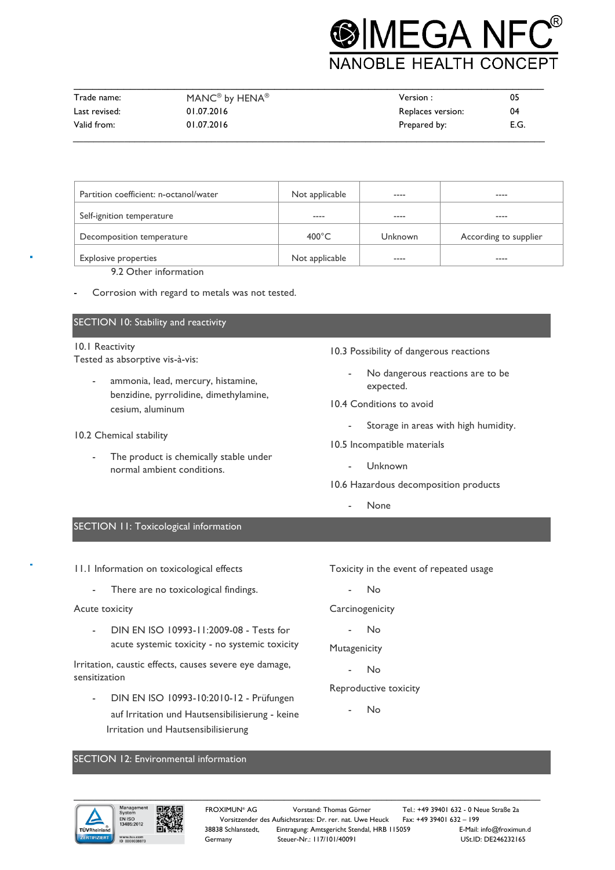

| Trade name:   | MANC® by HENA® | Version :         | 05   |
|---------------|----------------|-------------------|------|
| Last revised: | 01.07.2016     | Replaces version: | 04   |
| Valid from:   | 01.07.2016     | Prepared by:      | E.G. |

| Partition coefficient: n-octanol/water | Not applicable  | $- - - -$ | ----                  |
|----------------------------------------|-----------------|-----------|-----------------------|
| Self-ignition temperature              | $- - - -$       | ----      | ----                  |
| Decomposition temperature              | $400^{\circ}$ C | Unknown   | According to supplier |
| <b>Explosive properties</b>            | Not applicable  | $- - - -$ | ----                  |

9.2 Other information

Corrosion with regard to metals was not tested.

### SECTION 10: Stability and reactivity

## 10.1 Reactivity

Tested as absorptive vis-à-vis:

- ammonia, lead, mercury, histamine, benzidine, pyrrolidine, dimethylamine, cesium, aluminum
- 10.2 Chemical stability
	- The product is chemically stable under normal ambient conditions.
- 10.3 Possibility of dangerous reactions
	- No dangerous reactions are to be expected.
- 10.4 Conditions to avoid
	- Storage in areas with high humidity.
- 10.5 Incompatible materials
	- Unknown
- 10.6 Hazardous decomposition products
	- None

### SECTION 11: Toxicological information

11.1 Information on toxicological effects

- There are no toxicological findings.

### Acute toxicity

- DIN EN ISO 10993-11:2009-08 - Tests for acute systemic toxicity - no systemic toxicity

Irritation, caustic effects, causes severe eye damage, sensitization

- DIN EN ISO 10993-10:2010-12 - Prüfungen auf Irritation und Hautsensibilisierung - keine Irritation und Hautsensibilisierung

Toxicity in the event of repeated usage

- No

**Carcinogenicity** 

- No

Mutagenicity

N<sub>o</sub>

- Reproductive toxicity
	- No

### SECTION 12: Environmental information

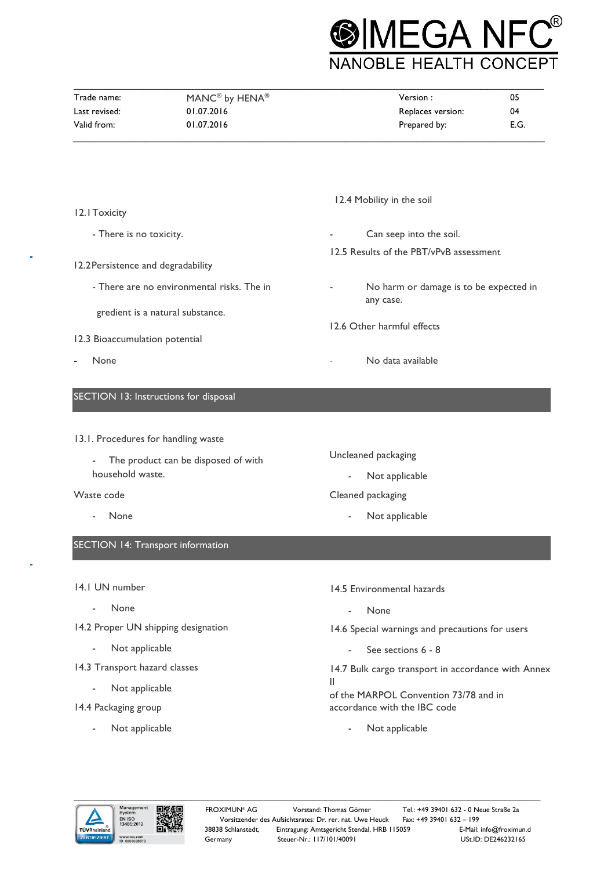

| Trade name:   | MANC® by HENA® | Version :         | 05   |
|---------------|----------------|-------------------|------|
| Last revised: | 01.07.2016     | Replaces version: | 04   |
| Valid from:   | 01.07.2016     | Prepared by:      | E.G. |

|                                            | 12.4 Mobility in the soil                           |
|--------------------------------------------|-----------------------------------------------------|
| 12.1 Toxicity                              |                                                     |
| - There is no toxicity.                    | Can seep into the soil.<br>$\overline{\phantom{a}}$ |
| 12.2 Persistence and degradability         | 12.5 Results of the PBT/vPvB assessment             |
| - There are no environmental risks. The in | No harm or damage is to be expected in<br>any case. |
| gredient is a natural substance.           | 12.6 Other harmful effects                          |
| 12.3 Bioaccumulation potential             |                                                     |
| None                                       | No data available<br>$\qquad \qquad -$              |
| SECTION 13: Instructions for disposal      |                                                     |
|                                            |                                                     |
| 13.1. Procedures for handling waste        |                                                     |
| The product can be disposed of with        | Uncleaned packaging                                 |
| household waste.                           | Not applicable<br>$\overline{\phantom{a}}$          |
| Waste code                                 | Cleaned packaging                                   |
|                                            |                                                     |

- None

SECTION 14: Transport information

- 14.1 UN number
	- None
- 14.2 Proper UN shipping designation
	- Not applicable
- 14.3 Transport hazard classes
	- Not applicable
- 14.4 Packaging group
	- Not applicable
- 14.5 Environmental hazards
	- None
- 14.6 Special warnings and precautions for users
	- See sections 6 8

14.7 Bulk cargo transport in accordance with Annex II

of the MARPOL Convention 73/78 and in accordance with the IBC code

- Not applicable



Not applicable